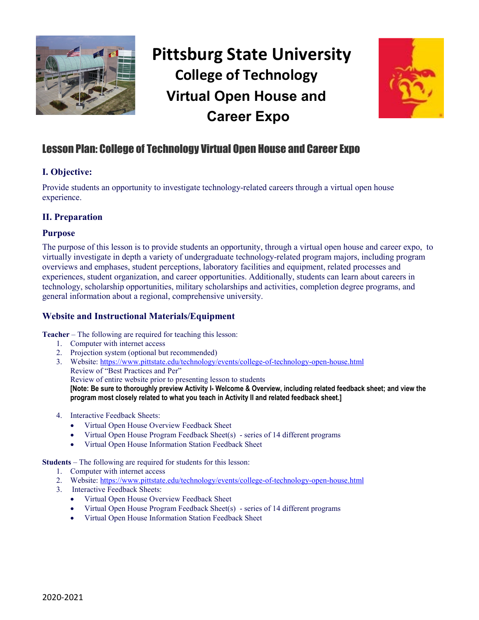

# **Pittsburg State University College of Technology Virtual Open House and Career Expo**



# Lesson Plan: College of Technology Virtual Open House and Career Expo

# **I. Objective:**

Provide students an opportunity to investigate technology-related careers through a virtual open house experience.

## **II. Preparation**

## **Purpose**

The purpose of this lesson is to provide students an opportunity, through a virtual open house and career expo, to virtually investigate in depth a variety of undergraduate technology-related program majors, including program overviews and emphases, student perceptions, laboratory facilities and equipment, related processes and experiences, student organization, and career opportunities. Additionally, students can learn about careers in technology, scholarship opportunities, military scholarships and activities, completion degree programs, and general information about a regional, comprehensive university.

# **Website and Instructional Materials/Equipment**

**Teacher** – The following are required for teaching this lesson:

- 1. Computer with internet access
- 2. Projection system (optional but recommended)
- 3. Website:<https://www.pittstate.edu/technology/events/college-of-technology-open-house.html> Review of "Best Practices and Per" Review of entire website prior to presenting lesson to students **[Note: Be sure to thoroughly preview Activity I- Welcome & Overview, including related feedback sheet; and view the**
- 4. Interactive Feedback Sheets:
	- Virtual Open House Overview Feedback Sheet
	- Virtual Open House Program Feedback Sheet(s) series of 14 different programs

**program most closely related to what you teach in Activity II and related feedback sheet.]**

• Virtual Open House Information Station Feedback Sheet

**Students** – The following are required for students for this lesson:

- 1. Computer with internet access
- 2. Website:<https://www.pittstate.edu/technology/events/college-of-technology-open-house.html>
- 3. Interactive Feedback Sheets:
	- Virtual Open House Overview Feedback Sheet
	- Virtual Open House Program Feedback Sheet(s) series of 14 different programs
	- Virtual Open House Information Station Feedback Sheet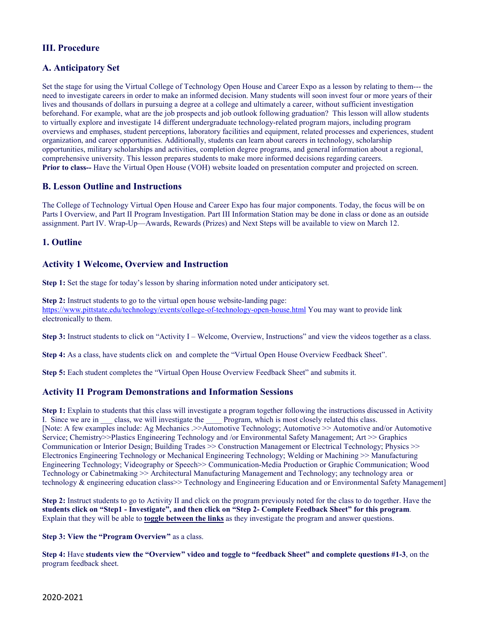## **III. Procedure**

## **A. Anticipatory Set**

Set the stage for using the Virtual College of Technology Open House and Career Expo as a lesson by relating to them--- the need to investigate careers in order to make an informed decision. Many students will soon invest four or more years of their lives and thousands of dollars in pursuing a degree at a college and ultimately a career, without sufficient investigation beforehand. For example, what are the job prospects and job outlook following graduation? This lesson will allow students to virtually explore and investigate 14 different undergraduate technology-related program majors, including program overviews and emphases, student perceptions, laboratory facilities and equipment, related processes and experiences, student organization, and career opportunities. Additionally, students can learn about careers in technology, scholarship opportunities, military scholarships and activities, completion degree programs, and general information about a regional, comprehensive university. This lesson prepares students to make more informed decisions regarding careers. **Prior to class--** Have the Virtual Open House (VOH) website loaded on presentation computer and projected on screen.

## **B. Lesson Outline and Instructions**

The College of Technology Virtual Open House and Career Expo has four major components. Today, the focus will be on Parts I Overview, and Part II Program Investigation. Part III Information Station may be done in class or done as an outside assignment. Part IV. Wrap-Up—Awards, Rewards (Prizes) and Next Steps will be available to view on March 12.

## **1. Outline**

## **Activity 1 Welcome, Overview and Instruction**

**Step 1:** Set the stage for today's lesson by sharing information noted under anticipatory set.

**Step 2:** Instruct students to go to the virtual open house website-landing page: <https://www.pittstate.edu/technology/events/college-of-technology-open-house.html> You may want to provide link electronically to them.

**Step 3:** Instruct students to click on "Activity I – Welcome, Overview, Instructions" and view the videos together as a class.

**Step 4:** As a class, have students click on and complete the "Virtual Open House Overview Feedback Sheet".

**Step 5:** Each student completes the "Virtual Open House Overview Feedback Sheet" and submits it.

#### **Activity I1 Program Demonstrations and Information Sessions**

**Step 1:** Explain to students that this class will investigate a program together following the instructions discussed in Activity I. Since we are in \_\_\_ class, we will investigate the \_\_\_\_\_ Program, which is most closely related this class. [Note: A few examples include: Ag Mechanics .>>Automotive Technology; Automotive >> Automotive and/or Automotive Service; Chemistry>>Plastics Engineering Technology and /or Environmental Safety Management; Art >> Graphics Communication or Interior Design; Building Trades >> Construction Management or Electrical Technology; Physics >> Electronics Engineering Technology or Mechanical Engineering Technology; Welding or Machining >> Manufacturing Engineering Technology; Videography or Speech>> Communication-Media Production or Graphic Communication; Wood Technology or Cabinetmaking >> Architectural Manufacturing Management and Technology; any technology area or technology & engineering education class>> Technology and Engineering Education and or Environmental Safety Management]

**Step 2:** Instruct students to go to Activity II and click on the program previously noted for the class to do together. Have the **students click on "Step1 - Investigate", and then click on "Step 2- Complete Feedback Sheet" for this program**. Explain that they will be able to **toggle between the links** as they investigate the program and answer questions.

**Step 3: View the "Program Overview"** as a class.

**Step 4:** Have **students view the "Overview" video and toggle to "feedback Sheet" and complete questions #1-3**, on the program feedback sheet.